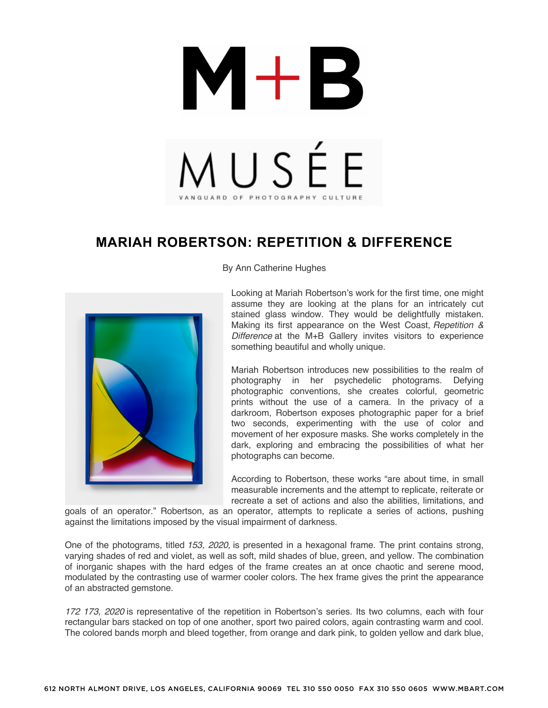

## **MARIAH ROBERTSON: REPETITION & DIFFERENCE**



By Ann Catherine Hughes

Looking at Mariah Robertson's work for the first time, one might assume they are looking at the plans for an intricately cut stained glass window. They would be delightfully mistaken. Making its first appearance on the West Coast, *Repetition & Difference* at the M+B Gallery invites visitors to experience something beautiful and wholly unique.

Mariah Robertson introduces new possibilities to the realm of photography in her psychedelic photograms. Defying photographic conventions, she creates colorful, geometric prints without the use of a camera. In the privacy of a darkroom, Robertson exposes photographic paper for a brief two seconds, experimenting with the use of color and movement of her exposure masks. She works completely in the dark, exploring and embracing the possibilities of what her photographs can become.

According to Robertson, these works "are about time, in small measurable increments and the attempt to replicate, reiterate or recreate a set of actions and also the abilities, limitations, and

goals of an operator." Robertson, as an operator, attempts to replicate a series of actions, pushing against the limitations imposed by the visual impairment of darkness.

One of the photograms, titled *153, 2020,* is presented in a hexagonal frame. The print contains strong, varying shades of red and violet, as well as soft, mild shades of blue, green, and yellow. The combination of inorganic shapes with the hard edges of the frame creates an at once chaotic and serene mood, modulated by the contrasting use of warmer cooler colors. The hex frame gives the print the appearance of an abstracted gemstone.

*172 173, 2020* is representative of the repetition in Robertson's series. Its two columns, each with four rectangular bars stacked on top of one another, sport two paired colors, again contrasting warm and cool. The colored bands morph and bleed together, from orange and dark pink, to golden yellow and dark blue,